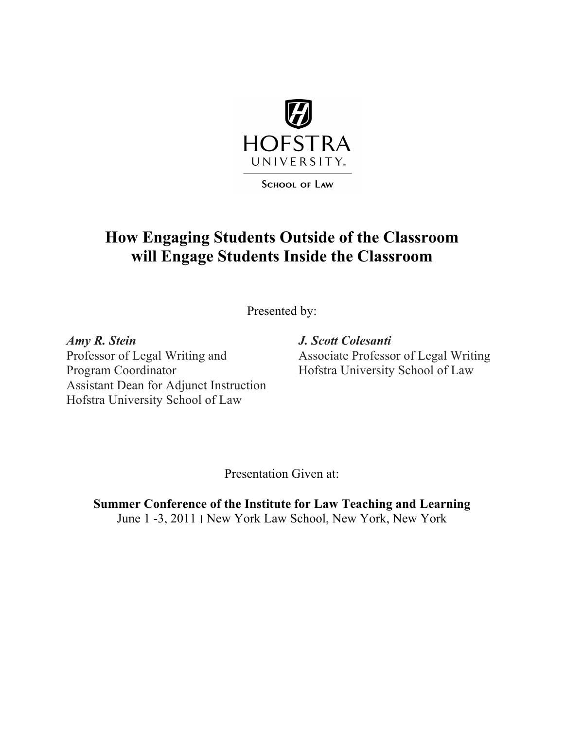

**SCHOOL OF LAW** 

# **How Engaging Students Outside of the Classroom will Engage Students Inside the Classroom**

Presented by:

*Amy R. Stein J. Scott Colesanti* Program Coordinator Hofstra University School of Law Assistant Dean for Adjunct Instruction Hofstra University School of Law

Associate Professor of Legal Writing

Presentation Given at:

**Summer Conference of the Institute for Law Teaching and Learning** June 1 -3, 2011 ׀ New York Law School, New York, New York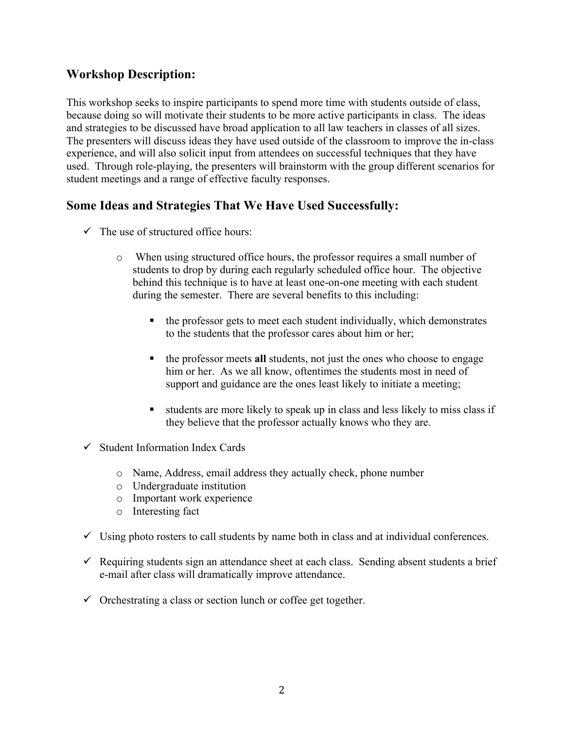# **Workshop Description:**

This workshop seeks to inspire participants to spend more time with students outside of class, because doing so will motivate their students to be more active participants in class. The ideas and strategies to be discussed have broad application to all law teachers in classes of all sizes. The presenters will discuss ideas they have used outside of the classroom to improve the in-class experience, and will also solicit input from attendees on successful techniques that they have used. Through role-playing, the presenters will brainstorm with the group different scenarios for student meetings and a range of effective faculty responses.

### **Some Ideas and Strategies That We Have Used Successfully:**

- $\checkmark$  The use of structured office hours:
	- o When using structured office hours, the professor requires a small number of students to drop by during each regularly scheduled office hour. The objective behind this technique is to have at least one-on-one meeting with each student during the semester. There are several benefits to this including:
		- the professor gets to meet each student individually, which demonstrates to the students that the professor cares about him or her;
		- the professor meets **all** students, not just the ones who choose to engage him or her. As we all know, oftentimes the students most in need of support and guidance are the ones least likely to initiate a meeting;
		- students are more likely to speak up in class and less likely to miss class if they believe that the professor actually knows who they are.
- $\checkmark$  Student Information Index Cards
	- o Name, Address, email address they actually check, phone number
	- o Undergraduate institution
	- o Important work experience
	- o Interesting fact
- $\checkmark$  Using photo rosters to call students by name both in class and at individual conferences.
- $\checkmark$  Requiring students sign an attendance sheet at each class. Sending absent students a brief e-mail after class will dramatically improve attendance.
- $\checkmark$  Orchestrating a class or section lunch or coffee get together.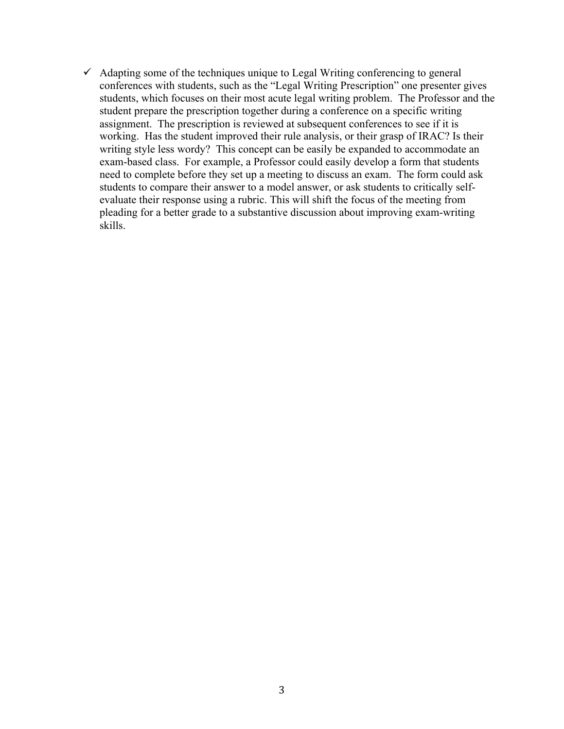$\checkmark$  Adapting some of the techniques unique to Legal Writing conferencing to general conferences with students, such as the "Legal Writing Prescription" one presenter gives students, which focuses on their most acute legal writing problem. The Professor and the student prepare the prescription together during a conference on a specific writing assignment. The prescription is reviewed at subsequent conferences to see if it is working. Has the student improved their rule analysis, or their grasp of IRAC? Is their writing style less wordy? This concept can be easily be expanded to accommodate an exam-based class. For example, a Professor could easily develop a form that students need to complete before they set up a meeting to discuss an exam. The form could ask students to compare their answer to a model answer, or ask students to critically selfevaluate their response using a rubric. This will shift the focus of the meeting from pleading for a better grade to a substantive discussion about improving exam-writing skills.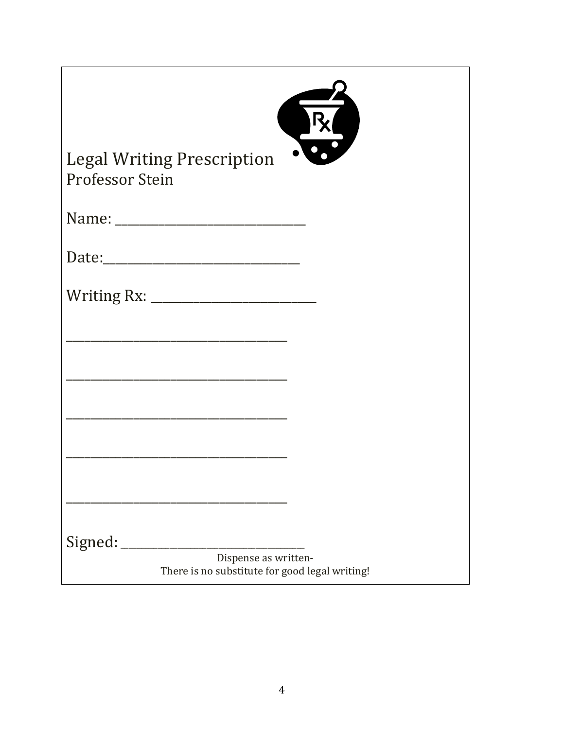| RK                                                                     |
|------------------------------------------------------------------------|
| <b>Legal Writing Prescription</b><br>Professor Stein                   |
|                                                                        |
|                                                                        |
|                                                                        |
|                                                                        |
|                                                                        |
|                                                                        |
|                                                                        |
|                                                                        |
| Signed:                                                                |
| Dispense as written-<br>There is no substitute for good legal writing! |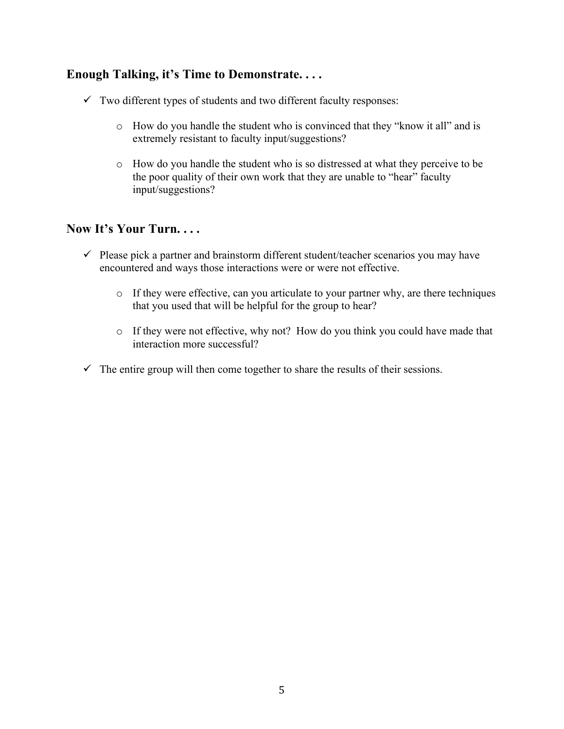# **Enough Talking, it's Time to Demonstrate. . . .**

- $\checkmark$  Two different types of students and two different faculty responses:
	- o How do you handle the student who is convinced that they "know it all" and is extremely resistant to faculty input/suggestions?
	- o How do you handle the student who is so distressed at what they perceive to be the poor quality of their own work that they are unable to "hear" faculty input/suggestions?

### **Now It's Your Turn. . . .**

- $\checkmark$  Please pick a partner and brainstorm different student/teacher scenarios you may have encountered and ways those interactions were or were not effective.
	- o If they were effective, can you articulate to your partner why, are there techniques that you used that will be helpful for the group to hear?
	- o If they were not effective, why not? How do you think you could have made that interaction more successful?
- $\checkmark$  The entire group will then come together to share the results of their sessions.